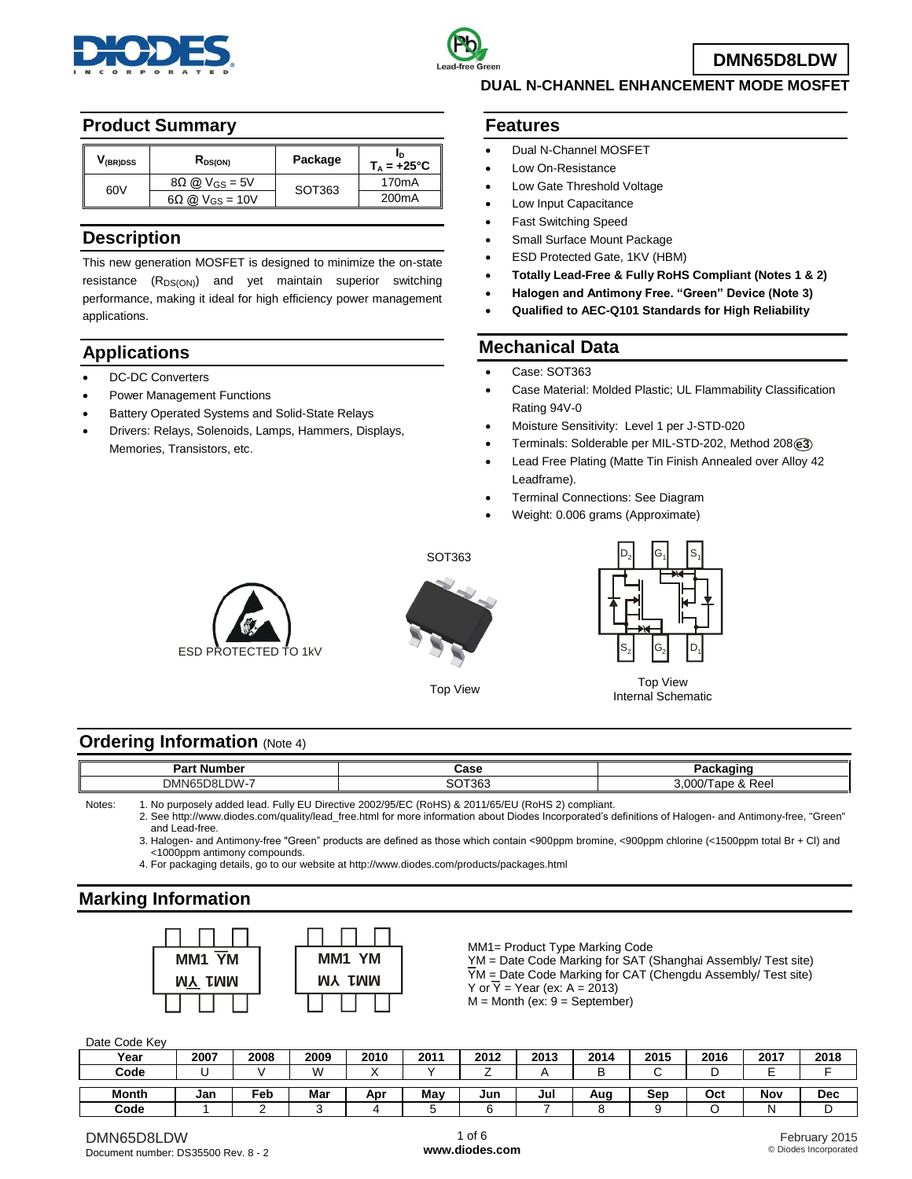



# **DUAL N-CHANNEL ENHANCEMENT MODE MOSFET**

## **Product Summary**

| V <sub>(BR)DSS</sub> | $R_{DS(ON)}$                 | Package | $T_A = +25^{\circ}C$ |
|----------------------|------------------------------|---------|----------------------|
| 60V                  | $8\Omega \omega V_{GS} = 5V$ | SOT363  | 170 <sub>m</sub> A   |
|                      | $6\Omega$ @ $V_{GS}$ = 10V   |         | 200 <sub>m</sub> A   |

## **Description**

This new generation MOSFET is designed to minimize the on-state resistance  $(R_{DS(ON)})$  and yet maintain superior switching performance, making it ideal for high efficiency power management applications.

# **Applications**

- DC-DC Converters
- Power Management Functions
- Battery Operated Systems and Solid-State Relays
- Drivers: Relays, Solenoids, Lamps, Hammers, Displays, Memories, Transistors, etc.

### **Features**

- Dual N-Channel MOSFET
- Low On-Resistance
- Low Gate Threshold Voltage
- Low Input Capacitance
- Fast Switching Speed
- Small Surface Mount Package
- ESD Protected Gate, 1KV (HBM)
- **Totally Lead-Free & Fully RoHS Compliant (Notes 1 & 2)**
- **Halogen and Antimony Free. "Green" Device (Note 3)**
- **Qualified to AEC-Q101 Standards for High Reliability**

## **Mechanical Data**

- Case: SOT363
- Case Material: Molded Plastic; UL Flammability Classification Rating 94V-0
- Moisture Sensitivity: Level 1 per J-STD-020
- Terminals: Solderable per MIL-STD-202, Method 208 **e3**
- Lead Free Plating (Matte Tin Finish Annealed over Alloy 42 Leadframe).
- Terminal Connections: See Diagram
- Weight: 0.006 grams (Approximate)





SOT363



Top View Top View Internal Schematic

### **Ordering Information (Note 4)**

| ∶Number<br>ு-<br>ar u | Case         | $    -$<br>ю.<br>$-$        |
|-----------------------|--------------|-----------------------------|
| M<br>DMN65<br>ומר     | SOT363<br>טכ | -<br>0.000/T<br>⊺ape & Reel |

Notes: 1. No purposely added lead. Fully EU Directive 2002/95/EC (RoHS) & 2011/65/EU (RoHS 2) compliant.

2. See [http://www.diodes.com/quality/lead\\_free.html](http://www.diodes.com/quality/lead_free.html) for more information about Diodes Incorporated's definitions of Halogen- and Antimony-free, "Green" and Lead-free.

3. Halogen- and Antimony-free "Green" products are defined as those which contain <900ppm bromine, <900ppm chlorine (<1500ppm total Br + Cl) and <1000ppm antimony compounds.

4. For packaging details, go to our website at <http://www.diodes.com/products/packages.html>

# **Marking Information**



MM1= Product Type Marking Code

YM = Date Code Marking for SAT (Shanghai Assembly/ Test site)  $\overline{Y}M$  = Date Code Marking for CAT (Chengdu Assembly/ Test site) Y or  $\overline{Y}$  = Year (ex: A = 2013)  $M =$  Month (ex:  $9 =$  September)

### Date Code Key

| ------------ |      |      |      |      |      |      |      |      |      |      |      |      |
|--------------|------|------|------|------|------|------|------|------|------|------|------|------|
| Year         | 2007 | 2008 | 2009 | 2010 | 2011 | 2012 | 2013 | 2014 | 2015 | 2016 | 2017 | 2018 |
| Code         |      |      | W    |      |      |      |      | Ð    |      | ╺    |      |      |
|              |      |      |      |      |      |      |      |      |      |      |      |      |
| <b>Month</b> | Jan  | Feb  | Mar  | Apr  | Mav  | Jun  | Jul  | Aug  | Sep  | Oct  | Nov  | Dec  |
| Code         |      |      |      |      | ٠.   |      |      |      |      |      |      | . .  |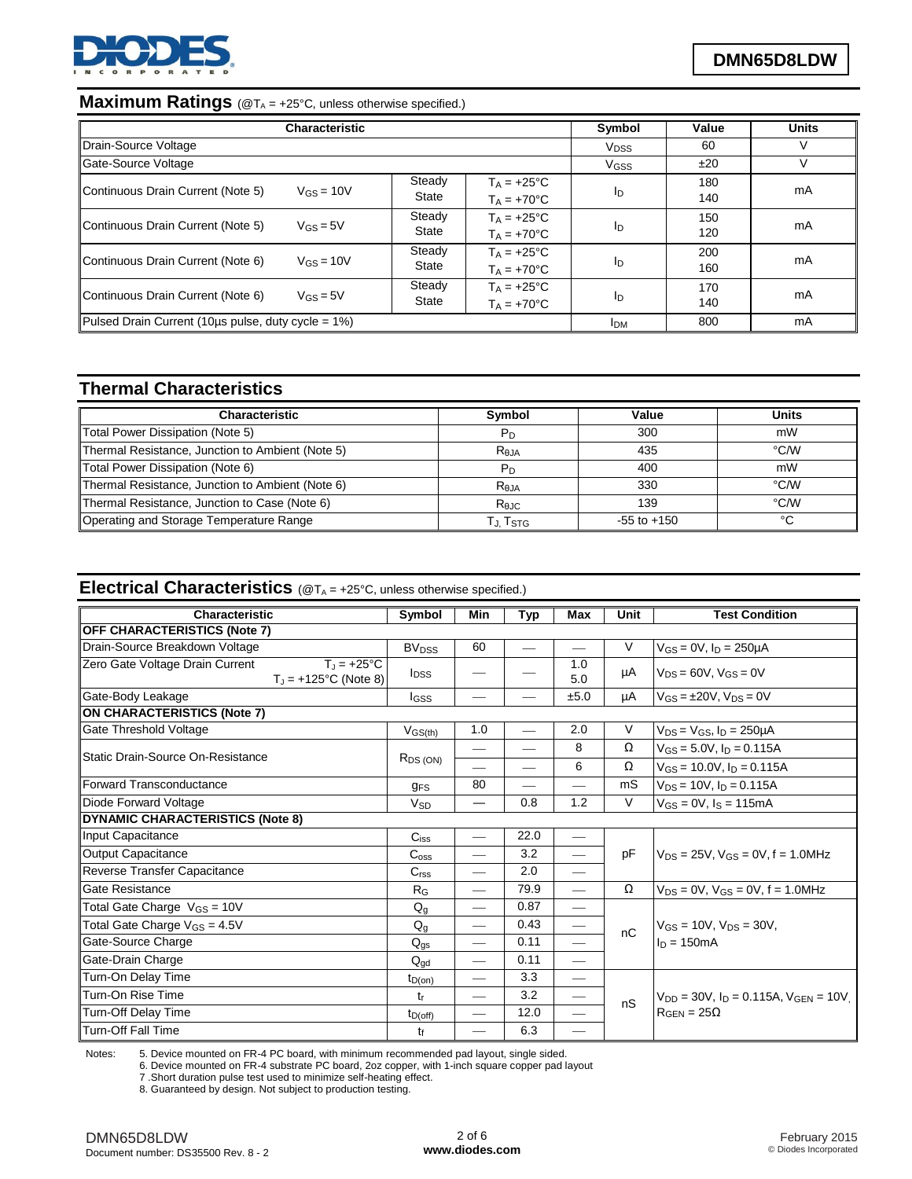

# **Maximum Ratings** (@T<sub>A</sub> = +25°C, unless otherwise specified.)

|                                                        | <b>Characteristic</b>    |                        |                                             | Symbol                 | Value      | <b>Units</b> |
|--------------------------------------------------------|--------------------------|------------------------|---------------------------------------------|------------------------|------------|--------------|
| Drain-Source Voltage                                   |                          |                        |                                             | <b>V<sub>DSS</sub></b> | 60         |              |
| Gate-Source Voltage                                    |                          |                        |                                             | V <sub>GSS</sub>       | ±20        |              |
| Continuous Drain Current (Note 5)                      | $V$ <sub>GS</sub> = 10V  | Steady<br>State        | $T_A = +25^{\circ}C$<br>$T_A = +70$ °C      | In                     | 180<br>140 | mA           |
| Continuous Drain Current (Note 5)                      | $V$ <sub>GS</sub> $=$ 5V | Steady<br>State        | $T_A = +25^{\circ}C$<br>$Ta = +70°C$        | ID                     | 150<br>120 | mA           |
| Continuous Drain Current (Note 6)                      | $V$ <sub>GS</sub> = 10V  | Steady<br>State        | $Ta = +25^{\circ}C$<br>$T_A = +70^{\circ}C$ | In                     | 200<br>160 | mA           |
| Continuous Drain Current (Note 6)                      | $V$ <sub>GS</sub> = $5V$ | Steady<br><b>State</b> | $T_A = +25$ °C<br>$T_A = +70$ °C            | In                     | 170<br>140 | mA           |
| Pulsed Drain Current (10µs pulse, duty cycle = $1\%$ ) | <b>IDM</b>               | 800                    | mA                                          |                        |            |              |

# **Thermal Characteristics**

| <b>Characteristic</b>                            | <b>Symbol</b>  | Value           | Units |
|--------------------------------------------------|----------------|-----------------|-------|
| Total Power Dissipation (Note 5)                 | P <sub>D</sub> | 300             | mW    |
| Thermal Resistance, Junction to Ambient (Note 5) | $R_{0,IA}$     | 435             | °C/W  |
| Total Power Dissipation (Note 6)                 | Pn             | 400             | mW    |
| Thermal Resistance, Junction to Ambient (Note 6) | $R_{0,IA}$     | 330             | °C/W  |
| Thermal Resistance, Junction to Case (Note 6)    | Rejc           | 139             | °C/W  |
| Operating and Storage Temperature Range          | Tj. Tstg       | $-55$ to $+150$ | °C    |

# **Electrical Characteristics** ( $@T_A = +25^\circ C$ , unless otherwise specified.)

| Characteristic                                                                         | Symbol                  | Min                      | Typ                      | Max                           | Unit     | <b>Test Condition</b>                           |
|----------------------------------------------------------------------------------------|-------------------------|--------------------------|--------------------------|-------------------------------|----------|-------------------------------------------------|
| <b>OFF CHARACTERISTICS (Note 7)</b>                                                    |                         |                          |                          |                               |          |                                                 |
| Drain-Source Breakdown Voltage                                                         | <b>BV<sub>DSS</sub></b> | 60                       |                          |                               | $\vee$   | $V_{GS} = 0V$ , $I_D = 250 \mu A$               |
| Zero Gate Voltage Drain Current<br>$T_{\parallel}$ = +25°C<br>$T_J = +125$ °C (Note 8) | $I_{DSS}$               |                          |                          | 1.0<br>5.0                    | μA       | $V_{DS} = 60V$ , $V_{GS} = 0V$                  |
| Gate-Body Leakage                                                                      | lgss                    | —                        |                          | ±5.0                          | μA       | $V_{GS} = \pm 20V$ , $V_{DS} = 0V$              |
| <b>ON CHARACTERISTICS (Note 7)</b>                                                     |                         |                          |                          |                               |          |                                                 |
| Gate Threshold Voltage                                                                 | $V_{GS(th)}$            | 1.0                      | $\overline{\phantom{0}}$ | 2.0                           | V        | $V_{DS} = V_{GS}$ , $I_D = 250 \mu A$           |
| Static Drain-Source On-Resistance                                                      |                         |                          | $\overline{\phantom{0}}$ | 8                             | Ω        | $V_{GS} = 5.0 V$ , $I_D = 0.115 A$              |
|                                                                                        | $R_{DS(ON)}$            |                          | $\overline{\phantom{0}}$ | 6                             | Ω        | $V_{GS}$ = 10.0V, $I_D$ = 0.115A                |
| Forward Transconductance                                                               | <b>GFS</b>              | 80                       | $\overline{\phantom{0}}$ | $\overline{\phantom{0}}$      | mS       | $V_{DS} = 10V$ , $I_D = 0.115A$                 |
| Diode Forward Voltage                                                                  | <b>V<sub>SD</sub></b>   | $\overline{\phantom{0}}$ | 0.8                      | 1.2                           | V        | $V_{GS} = 0V$ , $I_S = 115mA$                   |
| <b>DYNAMIC CHARACTERISTICS (Note 8)</b>                                                |                         |                          |                          |                               |          |                                                 |
| Input Capacitance                                                                      | C <sub>iss</sub>        |                          | 22.0                     |                               |          |                                                 |
| <b>Output Capacitance</b>                                                              | $C_{\rm oss}$           |                          | 3.2                      |                               | pF       | $V_{DS} = 25V$ , $V_{GS} = 0V$ , f = 1.0MHz     |
| Reverse Transfer Capacitance                                                           | C <sub>rss</sub>        |                          | 2.0                      | $\qquad \qquad$               |          |                                                 |
| Gate Resistance                                                                        | $R_G$                   |                          | 79.9                     | $\qquad \qquad$               | $\Omega$ | $V_{DS} = 0V$ , $V_{GS} = 0V$ , $f = 1.0 MHz$   |
| Total Gate Charge $V_{GS} = 10V$                                                       | $Q_q$                   |                          | 0.87                     | $\overbrace{\phantom{aaaaa}}$ |          |                                                 |
| Total Gate Charge $V_{GS} = 4.5V$                                                      | $Q_{q}$                 |                          | 0.43                     | $\qquad \qquad$               | nC       | $V_{GS}$ = 10V, $V_{DS}$ = 30V,                 |
| Gate-Source Charge                                                                     | $Q_{gs}$                |                          | 0.11                     | $\overline{\phantom{0}}$      |          | $ln = 150mA$                                    |
| Gate-Drain Charge                                                                      | $Q_{\text{gd}}$         | $\overline{\phantom{0}}$ | 0.11                     | $\overline{\phantom{0}}$      |          |                                                 |
| Turn-On Delay Time                                                                     | $t_{D(on)}$             |                          | 3.3                      | $\overline{\phantom{0}}$      |          |                                                 |
| Turn-On Rise Time                                                                      | t,                      | $\overline{\phantom{0}}$ | 3.2                      |                               | nS       | $V_{DD}$ = 30V, $I_D$ = 0.115A, $V_{GEN}$ = 10V |
| Turn-Off Delay Time                                                                    | $t_{D(off)}$            |                          | 12.0                     | $\overline{\phantom{0}}$      |          | $R_{GEN} = 25\Omega$                            |
| <b>Turn-Off Fall Time</b>                                                              | tғ                      |                          | 6.3                      | —                             |          |                                                 |

Notes: 5. Device mounted on FR-4 PC board, with minimum recommended pad layout, single sided.

6. Device mounted on FR-4 substrate PC board, 2oz copper, with 1-inch square copper pad layout

7 .Short duration pulse test used to minimize self-heating effect.

8. Guaranteed by design. Not subject to production testing.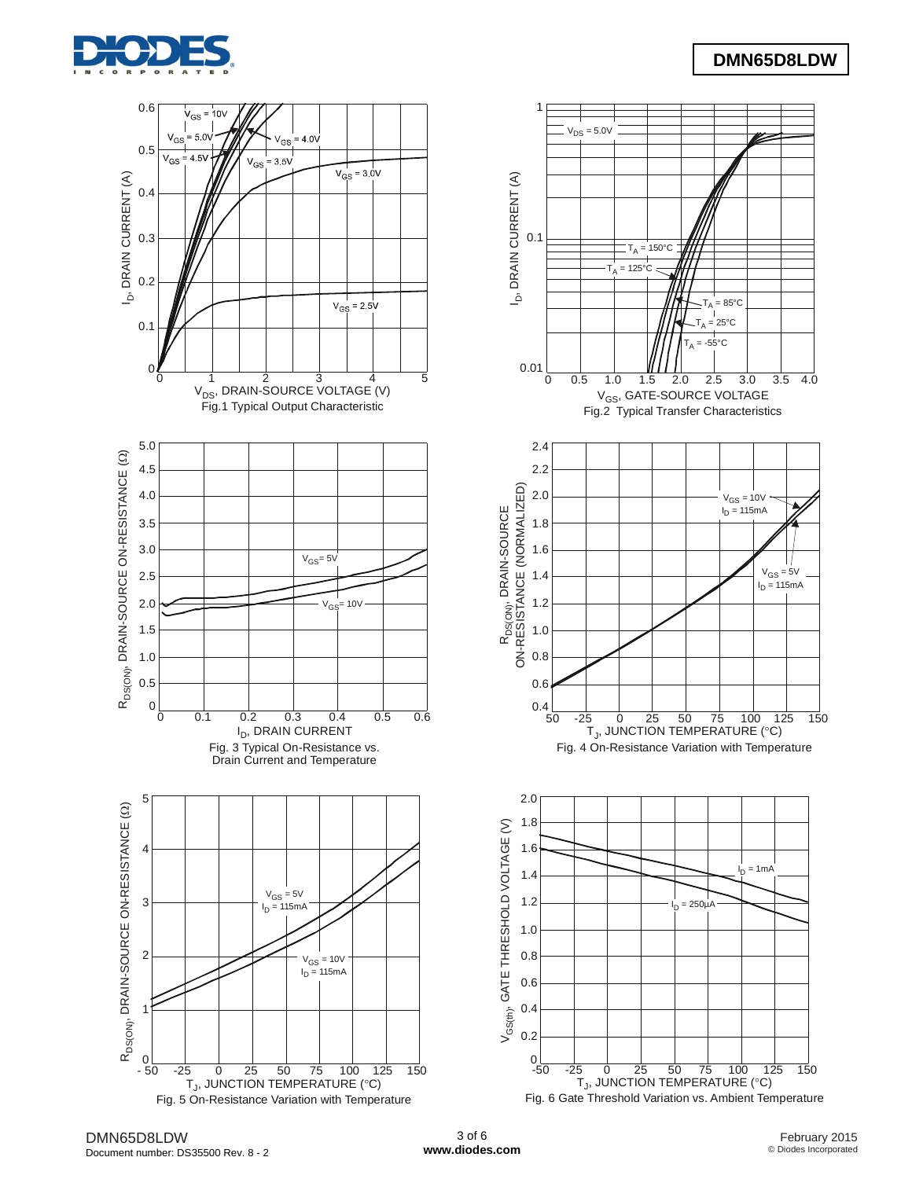

# **DMN65D8LDW**

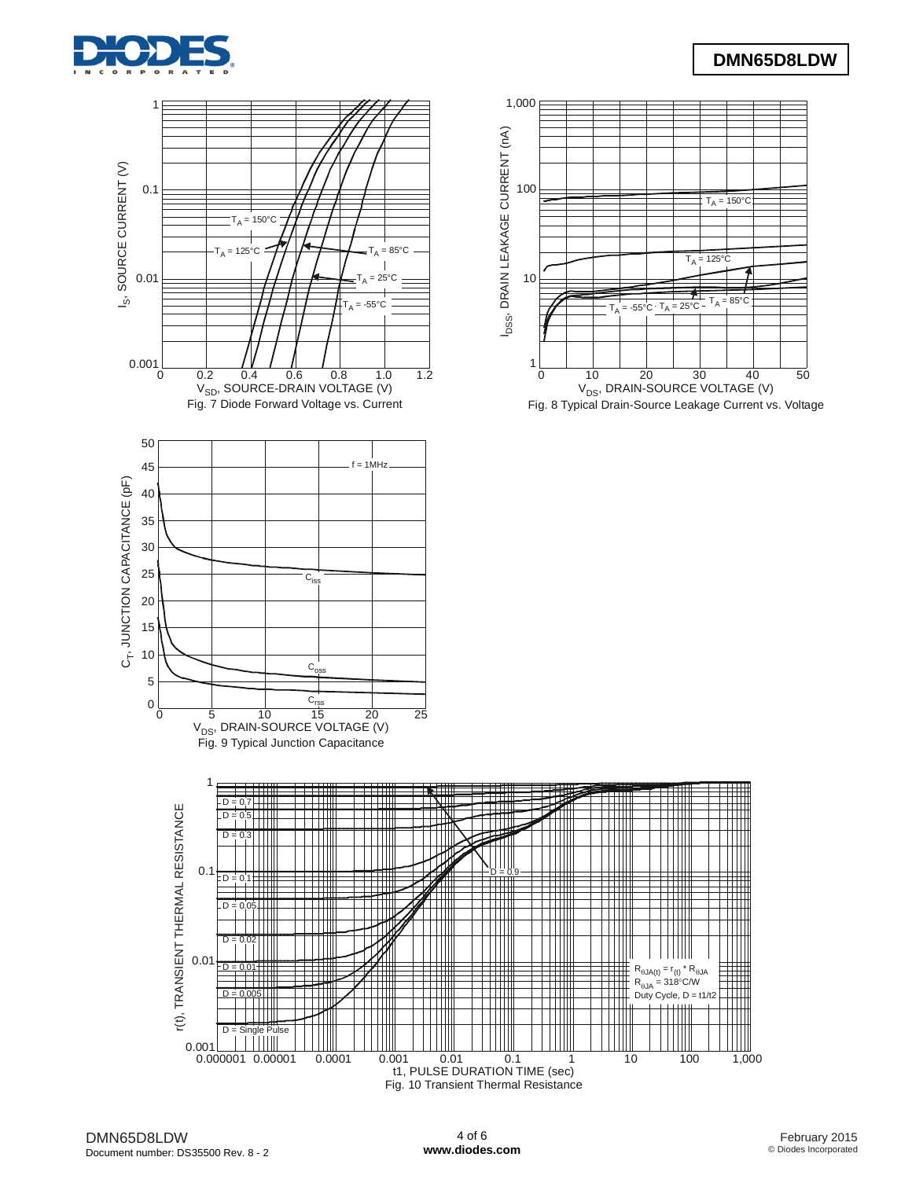

# **DMN65D8LDW**



Fig. 10 Transient Thermal Resistance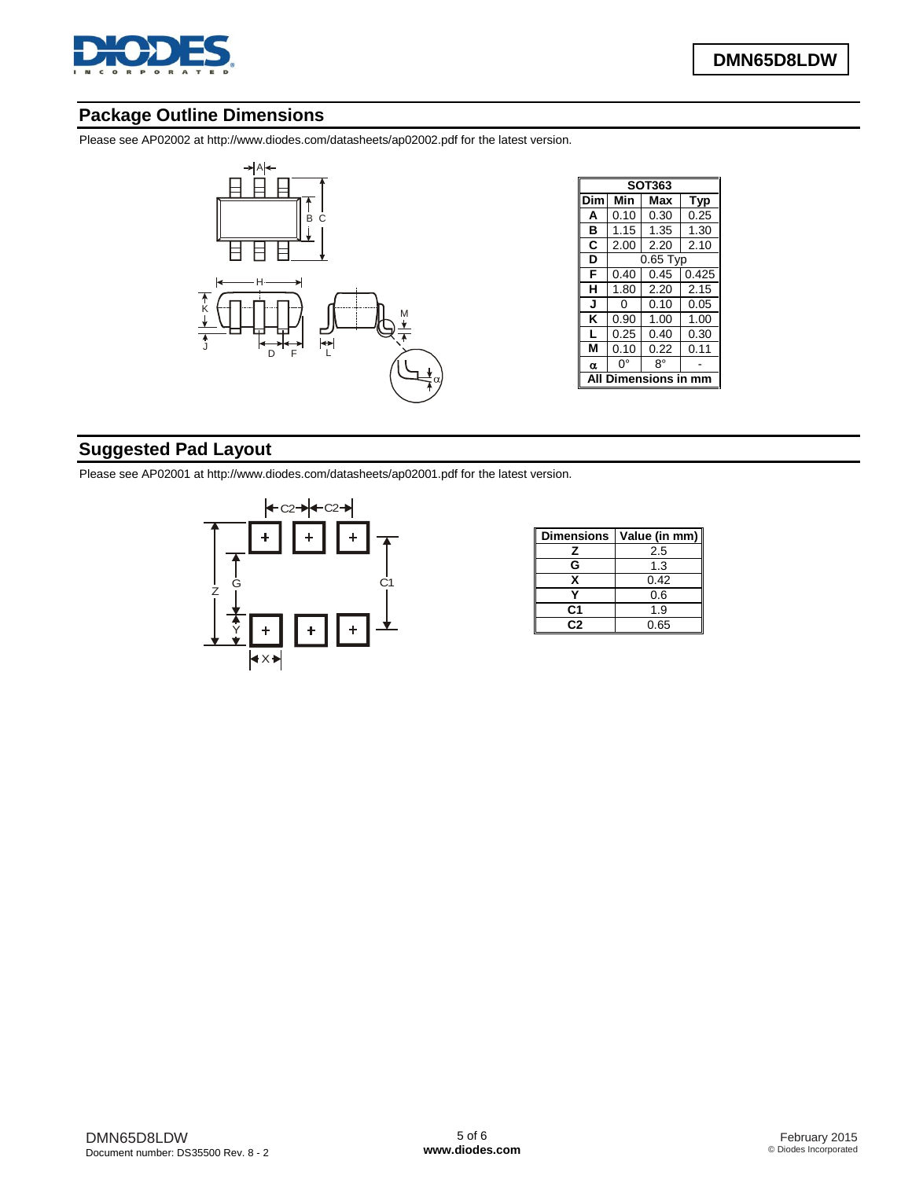

# **Package Outline Dimensions**

Please see AP02002 at [http://www.diodes.com/datasheets/ap02002.pdf fo](http://www.diodes.com/datasheets/ap02002.pdf)r the latest version.



| SOT363 |        |            |       |  |  |  |  |  |
|--------|--------|------------|-------|--|--|--|--|--|
| Dim    | Min    | Max        | Typ   |  |  |  |  |  |
| A      | 0.10   | 0.30       | 0.25  |  |  |  |  |  |
| в      | 1.15   | 1.35       | 1.30  |  |  |  |  |  |
| C      | 2.00   | 2.20       | 2.10  |  |  |  |  |  |
| D      |        | $0.65$ Typ |       |  |  |  |  |  |
| F      | 0.40   | 0.45       | 0.425 |  |  |  |  |  |
| н      | 1.80   | 2.20       | 2.15  |  |  |  |  |  |
| J      | ი      | 0.10       | 0.05  |  |  |  |  |  |
| κ      | 0.90   | 1.00       | 1.00  |  |  |  |  |  |
| L      | 0.25   | 0.40       | 0.30  |  |  |  |  |  |
| м      | 0.10   | 0.22       | 0.11  |  |  |  |  |  |
| α      | 0°     | 8°         |       |  |  |  |  |  |
|        | nsions |            |       |  |  |  |  |  |

# **Suggested Pad Layout**

Please see AP02001 at [http://www.diodes.com/datasheets/ap02001.pdf fo](http://www.diodes.com/datasheets/ap02001.pdf)r the latest version.



| <b>Dimensions</b> | Value (in mm) |  |  |  |
|-------------------|---------------|--|--|--|
| z                 | 2.5           |  |  |  |
| G                 | 1.3           |  |  |  |
| x                 | 0.42          |  |  |  |
|                   | 0.6           |  |  |  |
| C1                | 1.9           |  |  |  |
| C2                | 0.65          |  |  |  |